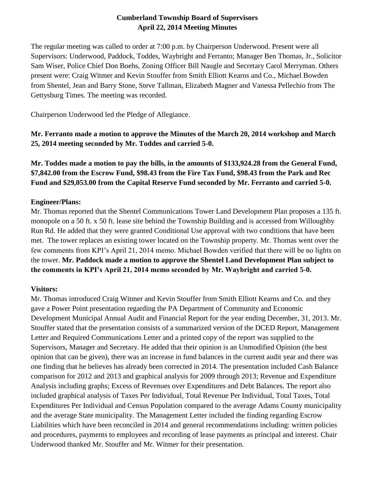# **Cumberland Township Board of Supervisors April 22, 2014 Meeting Minutes**

The regular meeting was called to order at 7:00 p.m. by Chairperson Underwood. Present were all Supervisors: Underwood, Paddock, Toddes, Waybright and Ferranto; Manager Ben Thomas, Jr., Solicitor Sam Wiser, Police Chief Don Boehs, Zoning Officer Bill Naugle and Secretary Carol Merryman. Others present were: Craig Witmer and Kevin Stouffer from Smith Elliott Kearns and Co., Michael Bowden from Shentel, Jean and Barry Stone, Steve Tallman, Elizabeth Magner and Vanessa Pellechio from The Gettysburg Times. The meeting was recorded.

Chairperson Underwood led the Pledge of Allegiance.

**Mr. Ferranto made a motion to approve the Minutes of the March 20, 2014 workshop and March 25, 2014 meeting seconded by Mr. Toddes and carried 5-0.** 

**Mr. Toddes made a motion to pay the bills, in the amounts of \$133,924.28 from the General Fund, \$7,842.00 from the Escrow Fund, \$98.43 from the Fire Tax Fund, \$98.43 from the Park and Rec Fund and \$29,053.00 from the Capital Reserve Fund seconded by Mr. Ferranto and carried 5-0.**

### **Engineer/Plans:**

Mr. Thomas reported that the Shentel Communications Tower Land Development Plan proposes a 135 ft. monopole on a 50 ft. x 50 ft. lease site behind the Township Building and is accessed from Willoughby Run Rd. He added that they were granted Conditional Use approval with two conditions that have been met. The tower replaces an existing tower located on the Township property. Mr. Thomas went over the few comments from KPI's April 21, 2014 memo. Michael Bowden verified that there will be no lights on the tower. **Mr. Paddock made a motion to approve the Shentel Land Development Plan subject to the comments in KPI's April 21, 2014 memo seconded by Mr. Waybright and carried 5-0.**

# **Visitors:**

Mr. Thomas introduced Craig Witmer and Kevin Stouffer from Smith Elliott Kearns and Co. and they gave a Power Point presentation regarding the PA Department of Community and Economic Development Municipal Annual Audit and Financial Report for the year ending December, 31, 2013. Mr. Stouffer stated that the presentation consists of a summarized version of the DCED Report, Management Letter and Required Communications Letter and a printed copy of the report was supplied to the Supervisors, Manager and Secretary. He added that their opinion is an Unmodified Opinion (the best opinion that can be given), there was an increase in fund balances in the current audit year and there was one finding that he believes has already been corrected in 2014. The presentation included Cash Balance comparison for 2012 and 2013 and graphical analysis for 2009 through 2013; Revenue and Expenditure Analysis including graphs; Excess of Revenues over Expenditures and Debt Balances. The report also included graphical analysis of Taxes Per Individual, Total Revenue Per Individual, Total Taxes, Total Expenditures Per Individual and Census Population compared to the average Adams County municipality and the average State municipality. The Management Letter included the finding regarding Escrow Liabilities which have been reconciled in 2014 and general recommendations including: written policies and procedures, payments to employees and recording of lease payments as principal and interest. Chair Underwood thanked Mr. Stouffer and Mr. Witmer for their presentation.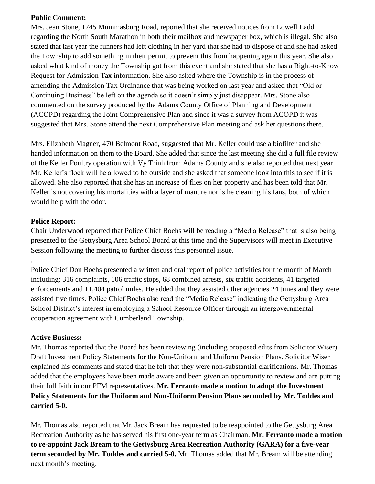#### **Public Comment:**

Mrs. Jean Stone, 1745 Mummasburg Road, reported that she received notices from Lowell Ladd regarding the North South Marathon in both their mailbox and newspaper box, which is illegal. She also stated that last year the runners had left clothing in her yard that she had to dispose of and she had asked the Township to add something in their permit to prevent this from happening again this year. She also asked what kind of money the Township got from this event and she stated that she has a Right-to-Know Request for Admission Tax information. She also asked where the Township is in the process of amending the Admission Tax Ordinance that was being worked on last year and asked that "Old or Continuing Business" be left on the agenda so it doesn't simply just disappear. Mrs. Stone also commented on the survey produced by the Adams County Office of Planning and Development (ACOPD) regarding the Joint Comprehensive Plan and since it was a survey from ACOPD it was suggested that Mrs. Stone attend the next Comprehensive Plan meeting and ask her questions there.

Mrs. Elizabeth Magner, 470 Belmont Road, suggested that Mr. Keller could use a biofilter and she handed information on them to the Board. She added that since the last meeting she did a full file review of the Keller Poultry operation with Vy Trinh from Adams County and she also reported that next year Mr. Keller's flock will be allowed to be outside and she asked that someone look into this to see if it is allowed. She also reported that she has an increase of flies on her property and has been told that Mr. Keller is not covering his mortalities with a layer of manure nor is he cleaning his fans, both of which would help with the odor.

### **Police Report:**

.

Chair Underwood reported that Police Chief Boehs will be reading a "Media Release" that is also being presented to the Gettysburg Area School Board at this time and the Supervisors will meet in Executive Session following the meeting to further discuss this personnel issue.

Police Chief Don Boehs presented a written and oral report of police activities for the month of March including: 316 complaints, 106 traffic stops, 68 combined arrests, six traffic accidents, 41 targeted enforcements and 11,404 patrol miles. He added that they assisted other agencies 24 times and they were assisted five times. Police Chief Boehs also read the "Media Release" indicating the Gettysburg Area School District's interest in employing a School Resource Officer through an intergovernmental cooperation agreement with Cumberland Township.

### **Active Business:**

Mr. Thomas reported that the Board has been reviewing (including proposed edits from Solicitor Wiser) Draft Investment Policy Statements for the Non-Uniform and Uniform Pension Plans. Solicitor Wiser explained his comments and stated that he felt that they were non-substantial clarifications. Mr. Thomas added that the employees have been made aware and been given an opportunity to review and are putting their full faith in our PFM representatives. **Mr. Ferranto made a motion to adopt the Investment Policy Statements for the Uniform and Non-Uniform Pension Plans seconded by Mr. Toddes and carried 5-0.**

Mr. Thomas also reported that Mr. Jack Bream has requested to be reappointed to the Gettysburg Area Recreation Authority as he has served his first one-year term as Chairman. **Mr. Ferranto made a motion to re-appoint Jack Bream to the Gettysburg Area Recreation Authority (GARA) for a five-year term seconded by Mr. Toddes and carried 5-0.** Mr. Thomas added that Mr. Bream will be attending next month's meeting.